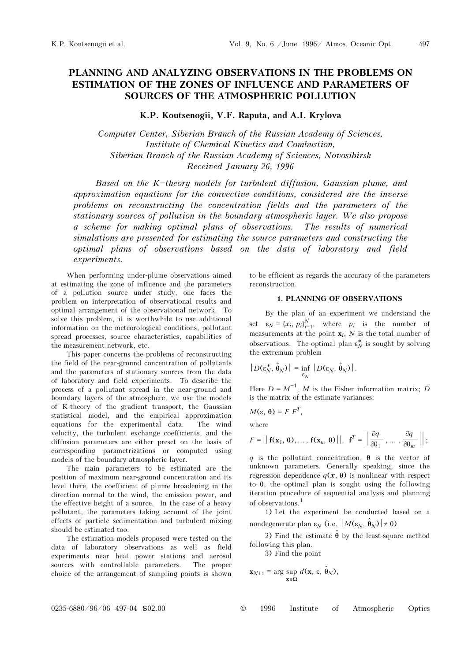# PLANNING AND ANALYZING OBSERVATIONS IN THE PROBLEMS ON ESTIMATION OF THE ZONES OF INFLUENCE AND PARAMETERS OF SOURCES OF THE ATMOSPHERIC POLLUTION

## K.P. Koutsenogii, V.F. Raputa, and A.I. Krylova

Computer Center, Siberian Branch of the Russian Academy of Sciences, Institute of Chemical Kinetics and Combustion, Siberian Branch of the Russian Academy of Sciences, Novosibirsk Received January 26, 1996

Based on the K-theory models for turbulent diffusion, Gaussian plume, and approximation equations for the convective conditions, considered are the inverse problems on reconstructing the concentration fields and the parameters of the stationary sources of pollution in the boundary atmospheric layer. We also propose a scheme for making optimal plans of observations. The results of numerical simulations are presented for estimating the source parameters and constructing the optimal plans of observations based on the data of laboratory and field experiments.

When performing under-plume observations aimed at estimating the zone of influence and the parameters of a pollution source under study, one faces the problem on interpretation of observational results and optimal arrangement of the observational network. To solve this problem, it is worthwhile to use additional information on the meteorological conditions, pollutant spread processes, source characteristics, capabilities of the measurement network, etc.

This paper concerns the problems of reconstructing the field of the near-ground concentration of pollutants and the parameters of stationary sources from the data of laboratory and field experiments. To describe the process of a pollutant spread in the near-ground and boundary layers of the atmosphere, we use the models of K-theory of the gradient transport, the Gaussian statistical model, and the empirical approximation equations for the experimental data. The wind velocity, the turbulent exchange coefficients, and the diffusion parameters are either preset on the basis of corresponding parametrizations or computed using models of the boundary atmospheric layer.

The main parameters to be estimated are the position of maximum near-ground concentration and its level there, the coefficient of plume broadening in the direction normal to the wind, the emission power, and the effective height of a source. In the case of a heavy pollutant, the parameters taking account of the joint effects of particle sedimentation and turbulent mixing should be estimated too.

The estimation models proposed were tested on the data of laboratory observations as well as field experiments near heat power stations and aerosol sources with controllable parameters. The proper choice of the arrangement of sampling points is shown

to be efficient as regards the accuracy of the parameters reconstruction.

#### 1. PLANNING OF OBSERVATIONS

By the plan of an experiment we understand the set  $\varepsilon_N = \{x_i, p_i\}_{i=1}^N$ , where  $p_i$  is the number of measurements at the point  $\mathbf{x}_i$ , N is the total number of observations. The optimal plan  $\varepsilon_N^*$  is sought by solving the extremum problem

$$
|D(\varepsilon_N^*, \hat{\theta}_N)| = \inf_{\varepsilon_N} |D(\varepsilon_N, \hat{\theta}_N)|.
$$

Here  $D = M^{-1}$ , M is the Fisher information matrix; D is the matrix of the estimate variances:

$$
M(\varepsilon, \, \theta) = F F^T,
$$

where

$$
F = || \mathbf{f}(\mathbf{x}_1, \boldsymbol{\theta}), \ldots, \mathbf{f}(\mathbf{x}_n, \boldsymbol{\theta}) ||, \mathbf{f}^T = || \frac{\partial q}{\partial \theta_1}, \ldots, \frac{\partial q}{\partial \theta_m} ||;
$$

q is the pollutant concentration,  $\theta$  is the vector of unknown parameters. Generally speaking, since the regression dependence  $q(x, θ)$  is nonlinear with respect to θ, the optimal plan is sought using the following iteration procedure of sequential analysis and planning of observations.<sup>1</sup>

1) Let the experiment be conducted based on a nondegenerate plan  $\varepsilon_N$  (i.e.  $|M(\varepsilon_N, \hat{\theta}_N)| \neq 0$ ).

2) Find the estimate  $\hat{\theta}$  by the least-square method following this plan.

3) Find the point

$$
\mathbf{x}_{N+1} = \arg \sup_{\mathbf{x} \in \Omega} d(\mathbf{x}, \, \varepsilon, \, \hat{\boldsymbol{\theta}}_N),
$$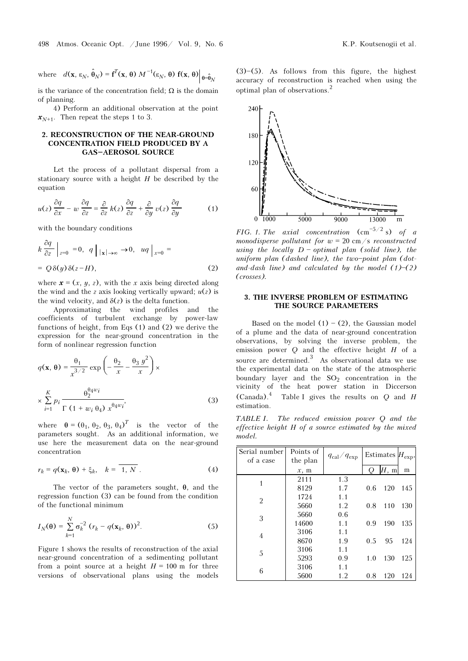is the variance of the concentration field;  $\Omega$  is the domain of planning.

4) Perform an additional observation at the point  $x_{N+1}$ . Then repeat the steps 1 to 3.

### 2. RECONSTRUCTION OF THE NEAR-GROUND CONCENTRATION FIELD PRODUCED BY A GAS-AEROSOL SOURCE

Let the process of a pollutant dispersal from a stationary source with a height  $H$  be described by the equation

$$
u(z)\frac{\partial q}{\partial x} - w\frac{\partial q}{\partial z} = \frac{\partial}{\partial z}k(z)\frac{\partial q}{\partial z} + \frac{\partial}{\partial y}v(z)\frac{\partial q}{\partial y} \tag{1}
$$

with the boundary conditions

$$
k\frac{\partial q}{\partial z}\Big|_{z=0} = 0, \quad q\Big|_{|x|\to\infty} \to 0, \quad uq\Big|_{x=0} =
$$
  
=  $Q\delta(y)\delta(z-H)$ , (2)

where  $\mathbf{x} = (x, y, z)$ , with the x axis being directed along the wind and the z axis looking vertically upward;  $u(z)$  is the wind velocity, and  $\delta(z)$  is the delta function.

Approximating the wind profiles and the coefficients of turbulent exchange by power-law functions of height, from Eqs (1) and (2) we derive the expression for the near-ground concentration in the form of nonlinear regression function

$$
q(\mathbf{x}, \theta) = \frac{\theta_1}{x^{3/2}} \exp\left(-\frac{\theta_2}{x} - \frac{\theta_3 y^2}{x}\right) \times \frac{K}{2\sum_{i=1}^{K} p_i} \frac{\theta_2^{\theta_4 w_i}}{\Gamma(1 + w_i \theta_4) x^{\theta_4 w_i}},
$$
(3)

where  $\theta = (\theta_1, \theta_2, \theta_3, \theta_4)^T$  is the vector of the parameters sought. As an additional information, we use here the measurement data on the near-ground concentration

$$
r_k = q(\mathbf{x}_k, \, \boldsymbol{\theta}) + \xi_k, \quad k = \overline{1, \, N} \, . \tag{4}
$$

The vector of the parameters sought,  $\theta$ , and the regression function (3) can be found from the condition of the functional minimum

$$
I_N(\theta) = \sum_{k=1}^N \sigma_k^{-2} (r_k - q(\mathbf{x}_k, \theta))^2.
$$
 (5)

Figure 1 shows the results of reconstruction of the axial near-ground concentration of a sedimenting pollutant from a point source at a height  $H = 100$  m for three versions of observational plans using the models



FIG. 1. The axial concentration  $\text{cm}^{-5/2}$  s) of a monodisperse pollutant for  $w = 20$  cm/s reconstructed using the locally  $D$  - optimal plan (solid line), the uniform plan (dashed line), the two-point plan (dotand-dash line) and calculated by the model  $(1)$ – $(2)$ (crosses).

#### 3. THE INVERSE PROBLEM OF ESTIMATING THE SOURCE PARAMETERS

Based on the model  $(1) - (2)$ , the Gaussian model of a plume and the data of near-ground concentration observations, by solving the inverse problem, the emission power  $Q$  and the effective height  $H$  of a source are determined.<sup>3</sup> As observational data we use the experimental data on the state of the atmospheric boundary layer and the  $SO_2$  concentration in the vicinity of the heat power station in Diccerson  $(Canada).<sup>4</sup>$ Table I gives the results on Q and H estimation.

TABLE I. The reduced emission power Q and the effective height H of a source estimated by the mixed model.

| Serial number  | Points of | $q_{\rm cal}/q_{\rm exp}$ |     | Estimates $H_{\text{exp}}$ , |     |
|----------------|-----------|---------------------------|-----|------------------------------|-----|
| of a case      | the plan  |                           |     |                              |     |
|                | x, m      |                           | Q   | H, m                         | m   |
| $\mathbf{1}$   | 2111      | 1.3                       |     |                              |     |
|                | 8129      | 1.7                       | 0.6 | 120                          | 145 |
| $\overline{2}$ | 1724      | 1.1                       |     |                              |     |
|                | 5660      | 1.2                       | 0.8 | 110                          | 130 |
|                | 5660      | 0.6                       |     |                              |     |
| 3              | 14600     | 1.1                       | 0.9 | 190                          | 135 |
|                | 3106      | 1.1                       |     |                              |     |
| 4              | 8670      | 1.9                       | 0.5 | 95                           | 124 |
| 5              | 3106      | 1.1                       |     |                              |     |
|                | 5293      | 0.9                       | 1.0 | 130                          | 125 |
|                | 3106      | 1.1                       |     |                              |     |
| 6              | 5600      | 1.2                       | 0.8 | 120                          | 124 |

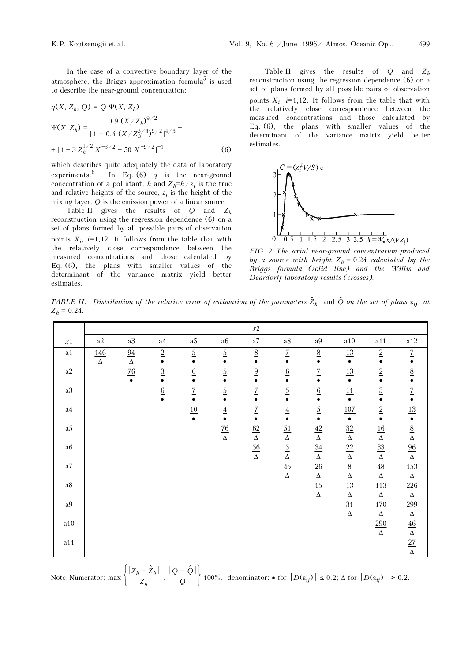In the case of a convective boundary layer of the atmosphere, the Briggs approximation formula<sup>5</sup> is used to describe the near-ground concentration:

$$
q(X, Z_h, Q) = Q \Psi(X, Z_h)
$$
  
\n
$$
\Psi(X, Z_h) = \frac{0.9 (X/Z_h)^{9/2}}{[1 + 0.4 (X/Z_h^{5/6})^{9/2}]^{4/3}} +
$$
  
\n+ [1 + 3 Z\_h^{1/2} X^{-3/2} + 50 X^{-9/2}]^{-1}, (6)

which describes quite adequately the data of laboratory experiments.<sup>6</sup> In Eq. (6)  $q$  is the near-ground concentration of a pollutant, h and  $Z_h=h/z_i$  is the true and relative heights of the source,  $z_i$  is the height of the mixing layer, Q is the emission power of a linear source.

Table II gives the results of  $Q$  and  $Z_h$ reconstruction using the regression dependence (6) on a set of plans formed by all possible pairs of observation points  $X_i$ ,  $i=\overline{1,12}$ . It follows from the table that with the relatively close correspondence between the measured concentrations and those calculated by Eq. (6), the plans with smaller values of the determinant of the variance matrix yield better estimates.

Table II gives the results of  $Q$  and  $Z_h$ reconstruction using the regression dependence (6) on a set of plans formed by all possible pairs of observation points  $X_i$ ,  $i=\overline{1,12}$ . It follows from the table that with the relatively close correspondence between the measured concentrations and those calculated by Eq. (6), the plans with smaller values of the determinant of the variance matrix yield better estimates.



FIG. 2. The axial near-ground concentration produced by a source with height  $Z_h = 0.24$  calculated by the Briggs formula (solid line) and the Willis and Deardorff laboratory results (crosses).

TABLE II. Distribution of the relative error of estimation of the parameters  ${\hat Z}_h$  and  $\hat Q$  on the set of plans  $\varepsilon_{ij}$  at  $Z_h = 0.24$ .

|            |                 |                     |                     |                  |                     | $x \\ 2$            |                     |                             |                     |                      |                                                                                                                                               |
|------------|-----------------|---------------------|---------------------|------------------|---------------------|---------------------|---------------------|-----------------------------|---------------------|----------------------|-----------------------------------------------------------------------------------------------------------------------------------------------|
| x1         | a2              | $\rm{a}3$           | $\rm{a}4$           | $\rm{a}5$        | $\rm{a}6$           | $\rm{a}7$           | $\rm{a}8$           | $\rm{a}9$                   | $\rm a10$           | a11                  | a12                                                                                                                                           |
| $\rm{a1}$  | 146<br>$\Delta$ | $\frac{94}{\Delta}$ | $\frac{2}{\bullet}$ | $\frac{5}{•}$    | $rac{5}{•}$         | $\frac{8}{•}$       | $\underline{7}$     | $\frac{8}{•}$               | $\frac{13}{•}$      | $\underline{2}$      | $\frac{7}{•}$                                                                                                                                 |
| $\rm{a2}$  |                 | $\frac{76}{1}$      | $rac{3}{\bullet}$   | $\underline{6}$  | $rac{5}{•}$         | $\frac{9}{9}$       | $\underline{6}$     | $\overline{1}$<br>$\bullet$ | $\frac{13}{•}$      | $\frac{2}{\bullet}$  | $\frac{8}{•}$                                                                                                                                 |
| $\rm{a}3$  |                 |                     | $rac{6}{•}$         | $\overline{1}$   | $\overline{2}$      | $\overline{1}$      | $\underline{5}$     | $rac{6}{•}$                 | 11<br>$\bullet$     | $\underline{3}$      | $\frac{7}{•}$                                                                                                                                 |
| $\rm{a}4$  |                 |                     |                     | $\underline{10}$ | $\frac{4}{•}$       | $\frac{7}{9}$       | $\frac{4}{\bullet}$ | $rac{5}{•}$                 | 107<br>$\bullet$    | $\frac{2}{\bullet}$  |                                                                                                                                               |
| $\rm{a}5$  |                 |                     |                     |                  | $\frac{76}{\Delta}$ | $\frac{62}{\Delta}$ | $rac{51}{\Delta}$   | $\frac{42}{\Delta}$         | $\frac{32}{\Delta}$ | $\frac{16}{\Delta}$  | $\frac{13}{\bullet}$ $\frac{8}{\Delta}$ $\frac{96}{\Delta}$ $\frac{153}{\Delta}$ $\frac{226}{\Delta}$ $\frac{46}{\Delta}$ $\frac{27}{\Delta}$ |
| $\rm{a}6$  |                 |                     |                     |                  |                     | $rac{56}{\Delta}$   | $\frac{5}{\Delta}$  | $\frac{34}{\Delta}$         | $\frac{22}{\Delta}$ | $\frac{33}{\Delta}$  |                                                                                                                                               |
| $\rm{a}7$  |                 |                     |                     |                  |                     |                     | $\frac{45}{\Delta}$ | $\frac{26}{\Delta}$         | $\frac{8}{\Delta}$  | $\frac{48}{\Delta}$  |                                                                                                                                               |
| $\rm{a}8$  |                 |                     |                     |                  |                     |                     |                     | $\frac{15}{\Delta}$         | $\frac{13}{\Delta}$ | $\frac{113}{\Delta}$ |                                                                                                                                               |
| $\rm{a}9$  |                 |                     |                     |                  |                     |                     |                     |                             | $\frac{31}{\Delta}$ | $\frac{170}{\Delta}$ |                                                                                                                                               |
| $\rm a10$  |                 |                     |                     |                  |                     |                     |                     |                             |                     | $\frac{290}{\Delta}$ |                                                                                                                                               |
| $\rm{a}11$ |                 |                     |                     |                  |                     |                     |                     |                             |                     |                      |                                                                                                                                               |

Note. Numerator: max  $\Biggl\{$ ⎭⎪  $\left| \underline{Z}_h - \hat{Z}_h \right| \left| \underline{Q} - \hat{Q} \right|$  $\frac{\mid -\hat{Z}_h \mid}{Z_h}$  ,  $\frac{\mid Q-\hat{Q} \mid}{Q}$  $\overline{Q}$  100%, denominator: • for  $|D(\varepsilon_{ij})| \le 0.2$ ;  $\Delta$  for  $|D(\varepsilon_{ij})| > 0.2$ .